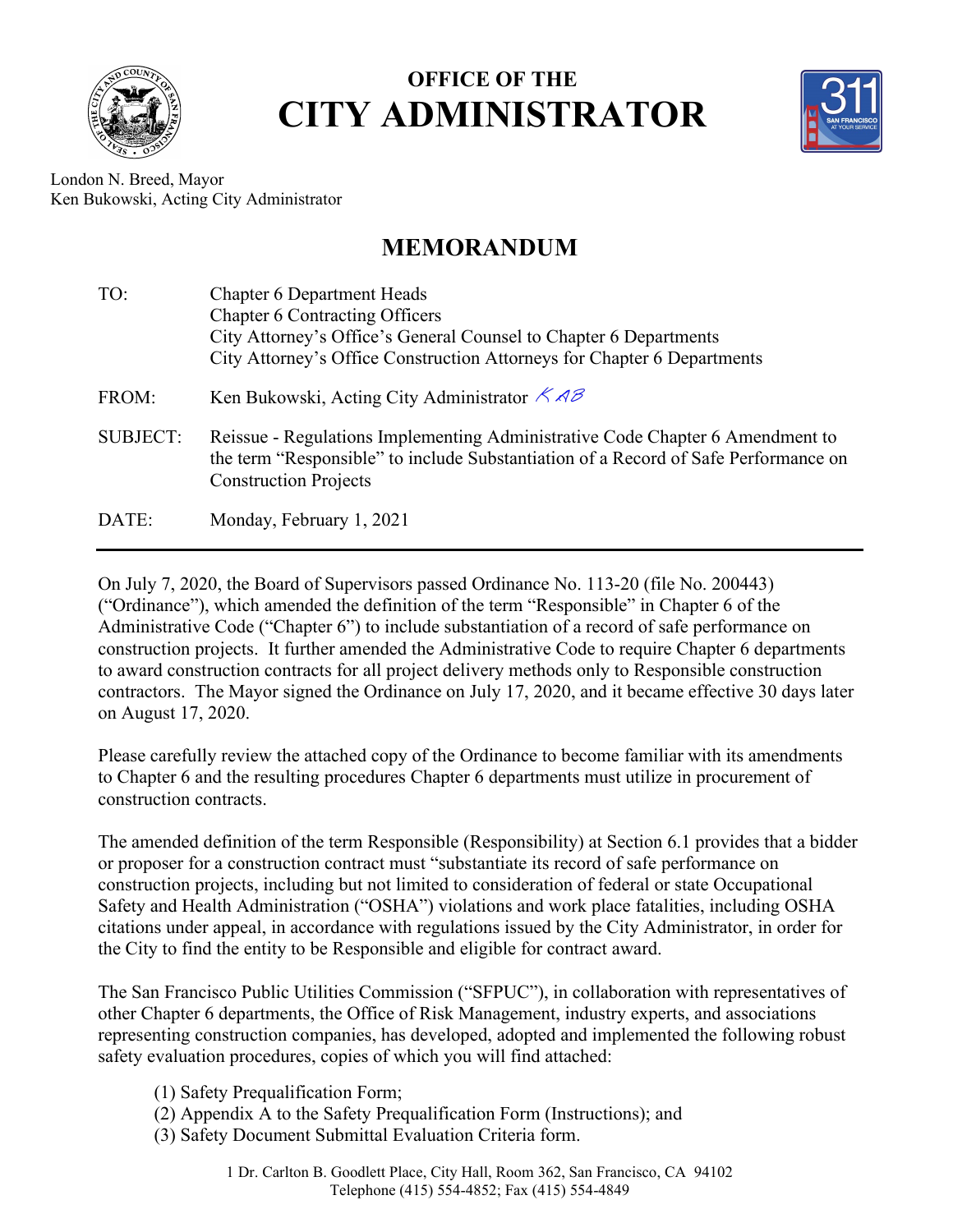

## **OFFICE OF THE CITY ADMINISTRATOR**



London N. Breed, Mayor Ken Bukowski, Acting City Administrator

## **MEMORANDUM**

| TO:             | <b>Chapter 6 Department Heads</b>                                                                                                                                                                    |
|-----------------|------------------------------------------------------------------------------------------------------------------------------------------------------------------------------------------------------|
|                 | <b>Chapter 6 Contracting Officers</b><br>City Attorney's Office's General Counsel to Chapter 6 Departments                                                                                           |
|                 | City Attorney's Office Construction Attorneys for Chapter 6 Departments                                                                                                                              |
| FROM:           | Ken Bukowski, Acting City Administrator $\angle$ AB                                                                                                                                                  |
| <b>SUBJECT:</b> | Reissue - Regulations Implementing Administrative Code Chapter 6 Amendment to<br>the term "Responsible" to include Substantiation of a Record of Safe Performance on<br><b>Construction Projects</b> |
| DATE:           | Monday, February 1, 2021                                                                                                                                                                             |

On July 7, 2020, the Board of Supervisors passed Ordinance No. 113-20 (file No. 200443) ("Ordinance"), which amended the definition of the term "Responsible" in Chapter 6 of the Administrative Code ("Chapter 6") to include substantiation of a record of safe performance on construction projects. It further amended the Administrative Code to require Chapter 6 departments to award construction contracts for all project delivery methods only to Responsible construction contractors. The Mayor signed the Ordinance on July 17, 2020, and it became effective 30 days later on August 17, 2020.

Please carefully review the attached copy of the Ordinance to become familiar with its amendments to Chapter 6 and the resulting procedures Chapter 6 departments must utilize in procurement of construction contracts.

The amended definition of the term Responsible (Responsibility) at Section 6.1 provides that a bidder or proposer for a construction contract must "substantiate its record of safe performance on construction projects, including but not limited to consideration of federal or state Occupational Safety and Health Administration ("OSHA") violations and work place fatalities, including OSHA citations under appeal, in accordance with regulations issued by the City Administrator, in order for the City to find the entity to be Responsible and eligible for contract award.

The San Francisco Public Utilities Commission ("SFPUC"), in collaboration with representatives of other Chapter 6 departments, the Office of Risk Management, industry experts, and associations representing construction companies, has developed, adopted and implemented the following robust safety evaluation procedures, copies of which you will find attached:

- (1) Safety Prequalification Form;
- (2) Appendix A to the Safety Prequalification Form (Instructions); and
- (3) Safety Document Submittal Evaluation Criteria form.